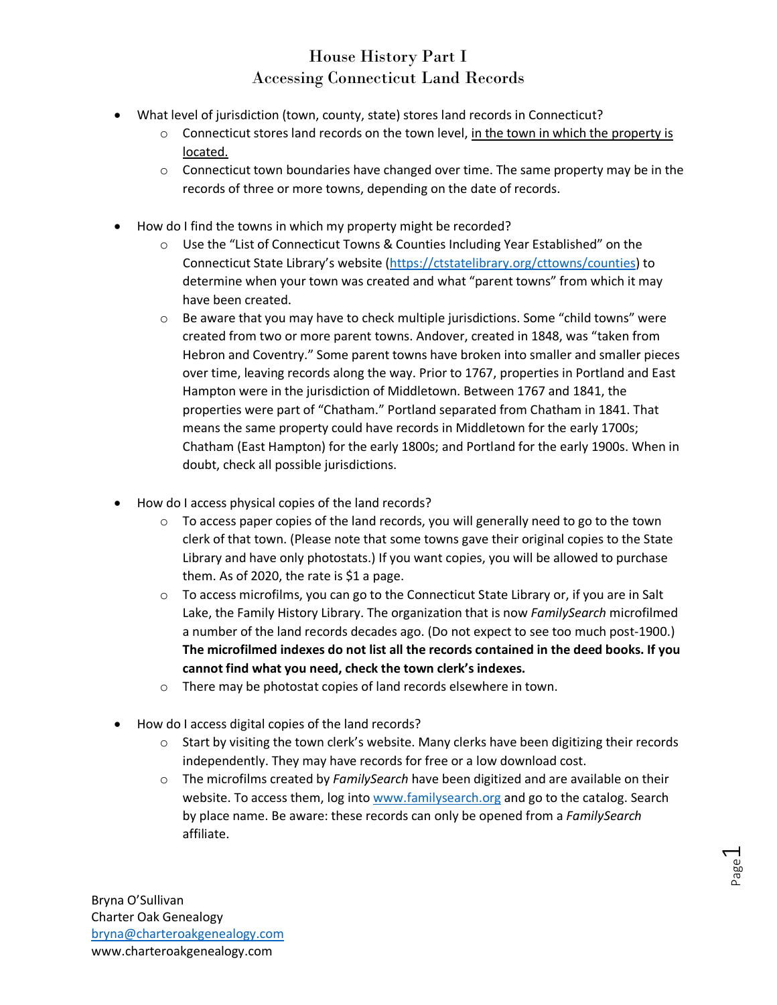## House History Part I Accessing Connecticut Land Records

- What level of jurisdiction (town, county, state) stores land records in Connecticut?
	- $\circ$  Connecticut stores land records on the town level, in the town in which the property is located.
	- $\circ$  Connecticut town boundaries have changed over time. The same property may be in the records of three or more towns, depending on the date of records.
- How do I find the towns in which my property might be recorded?
	- $\circ$  Use the "List of Connecticut Towns & Counties Including Year Established" on the Connecticut State Library's website [\(https://ctstatelibrary.org/cttowns/counties\)](https://ctstatelibrary.org/cttowns/counties) to determine when your town was created and what "parent towns" from which it may have been created.
	- $\circ$  Be aware that you may have to check multiple jurisdictions. Some "child towns" were created from two or more parent towns. Andover, created in 1848, was "taken from Hebron and Coventry." Some parent towns have broken into smaller and smaller pieces over time, leaving records along the way. Prior to 1767, properties in Portland and East Hampton were in the jurisdiction of Middletown. Between 1767 and 1841, the properties were part of "Chatham." Portland separated from Chatham in 1841. That means the same property could have records in Middletown for the early 1700s; Chatham (East Hampton) for the early 1800s; and Portland for the early 1900s. When in doubt, check all possible jurisdictions.
- How do I access physical copies of the land records?
	- $\circ$  To access paper copies of the land records, you will generally need to go to the town clerk of that town. (Please note that some towns gave their original copies to the State Library and have only photostats.) If you want copies, you will be allowed to purchase them. As of 2020, the rate is \$1 a page.
	- $\circ$  To access microfilms, you can go to the Connecticut State Library or, if you are in Salt Lake, the Family History Library. The organization that is now *FamilySearch* microfilmed a number of the land records decades ago. (Do not expect to see too much post-1900.) **The microfilmed indexes do not list all the records contained in the deed books. If you cannot find what you need, check the town clerk's indexes.**
	- o There may be photostat copies of land records elsewhere in town.
- How do I access digital copies of the land records?
	- $\circ$  Start by visiting the town clerk's website. Many clerks have been digitizing their records independently. They may have records for free or a low download cost.
	- o The microfilms created by *FamilySearch* have been digitized and are available on their website. To access them, log into [www.familysearch.org](http://www.familysearch.org/) and go to the catalog. Search by place name. Be aware: these records can only be opened from a *FamilySearch*  affiliate.